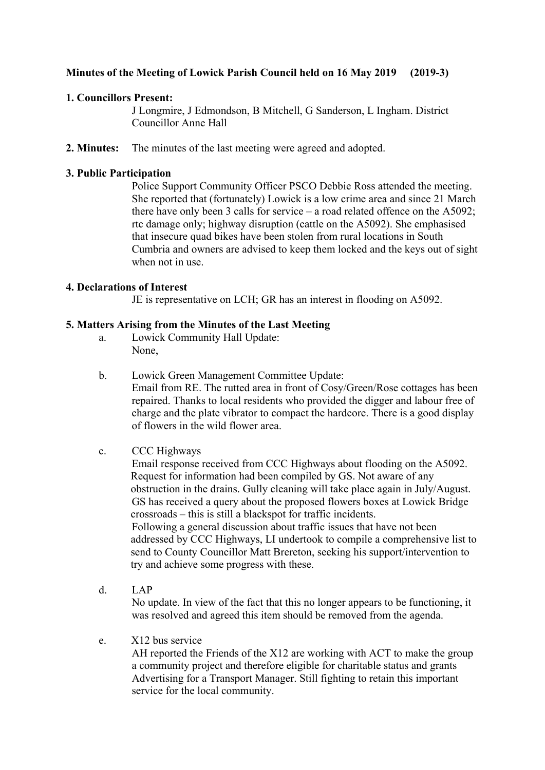# **Minutes of the Meeting of Lowick Parish Council held on 16 May 2019 (2019-3)**

## **1. Councillors Present:**

J Longmire, J Edmondson, B Mitchell, G Sanderson, L Ingham. District Councillor Anne Hall

**2. Minutes:** The minutes of the last meeting were agreed and adopted.

## **3. Public Participation**

Police Support Community Officer PSCO Debbie Ross attended the meeting. She reported that (fortunately) Lowick is a low crime area and since 21 March there have only been 3 calls for service – a road related offence on the A5092; rtc damage only; highway disruption (cattle on the A5092). She emphasised that insecure quad bikes have been stolen from rural locations in South Cumbria and owners are advised to keep them locked and the keys out of sight when not in use.

## **4. Declarations of Interest**

JE is representative on LCH; GR has an interest in flooding on A5092.

## **5. Matters Arising from the Minutes of the Last Meeting**

- a. Lowick Community Hall Update: None,
- b. Lowick Green Management Committee Update: Email from RE. The rutted area in front of Cosy/Green/Rose cottages has been repaired. Thanks to local residents who provided the digger and labour free of charge and the plate vibrator to compact the hardcore. There is a good display of flowers in the wild flower area.
- c. CCC Highways

Email response received from CCC Highways about flooding on the A5092. Request for information had been compiled by GS. Not aware of any obstruction in the drains. Gully cleaning will take place again in July/August. GS has received a query about the proposed flowers boxes at Lowick Bridge crossroads – this is still a blackspot for traffic incidents. Following a general discussion about traffic issues that have not been addressed by CCC Highways, LI undertook to compile a comprehensive list to send to County Councillor Matt Brereton, seeking his support/intervention to try and achieve some progress with these.

- d. LAP No update. In view of the fact that this no longer appears to be functioning, it was resolved and agreed this item should be removed from the agenda.
- e. X12 bus service

AH reported the Friends of the X12 are working with ACT to make the group a community project and therefore eligible for charitable status and grants Advertising for a Transport Manager. Still fighting to retain this important service for the local community.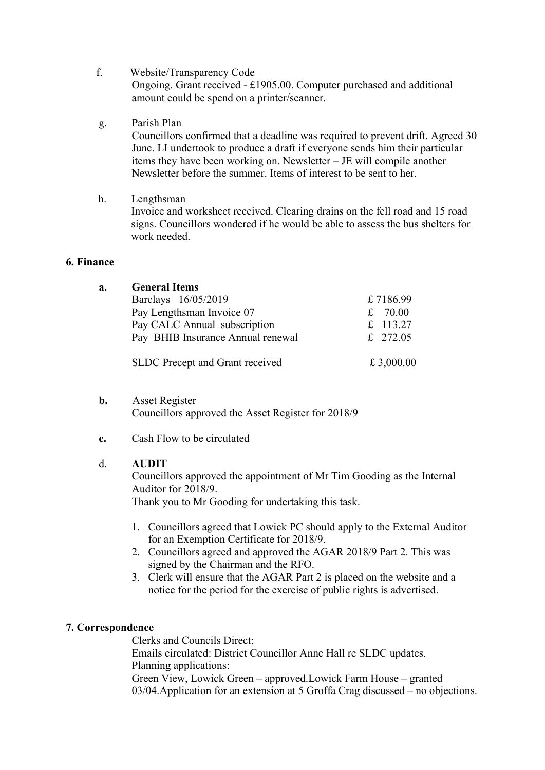- f. Website/Transparency Code Ongoing. Grant received - £1905.00. Computer purchased and additional amount could be spend on a printer/scanner.
- g. Parish Plan Councillors confirmed that a deadline was required to prevent drift. Agreed 30 June. LI undertook to produce a draft if everyone sends him their particular items they have been working on. Newsletter – JE will compile another Newsletter before the summer. Items of interest to be sent to her.
- h. Lengthsman Invoice and worksheet received. Clearing drains on the fell road and 15 road signs. Councillors wondered if he would be able to assess the bus shelters for work needed.

### **6. Finance**

| a. | <b>General Items</b>              |            |
|----|-----------------------------------|------------|
|    | Barclays 16/05/2019               | £7186.99   |
|    | Pay Lengthsman Invoice 07         | 70.00<br>£ |
|    | Pay CALC Annual subscription      | £ 113.27   |
|    | Pay BHIB Insurance Annual renewal | £ 272.05   |
|    | SLDC Precept and Grant received   | £ 3,000.00 |

- **b.** Asset Register Councillors approved the Asset Register for 2018/9
	- **c.** Cash Flow to be circulated

### d. **AUDIT**

Councillors approved the appointment of Mr Tim Gooding as the Internal Auditor for 2018/9.

Thank you to Mr Gooding for undertaking this task.

- 1. Councillors agreed that Lowick PC should apply to the External Auditor for an Exemption Certificate for 2018/9.
- 2. Councillors agreed and approved the AGAR 2018/9 Part 2. This was signed by the Chairman and the RFO.
- 3. Clerk will ensure that the AGAR Part 2 is placed on the website and a notice for the period for the exercise of public rights is advertised.

### **7. Correspondence**

Clerks and Councils Direct; Emails circulated: District Councillor Anne Hall re SLDC updates. Planning applications: Green View, Lowick Green – approved.Lowick Farm House – granted 03/04.Application for an extension at 5 Groffa Crag discussed – no objections.